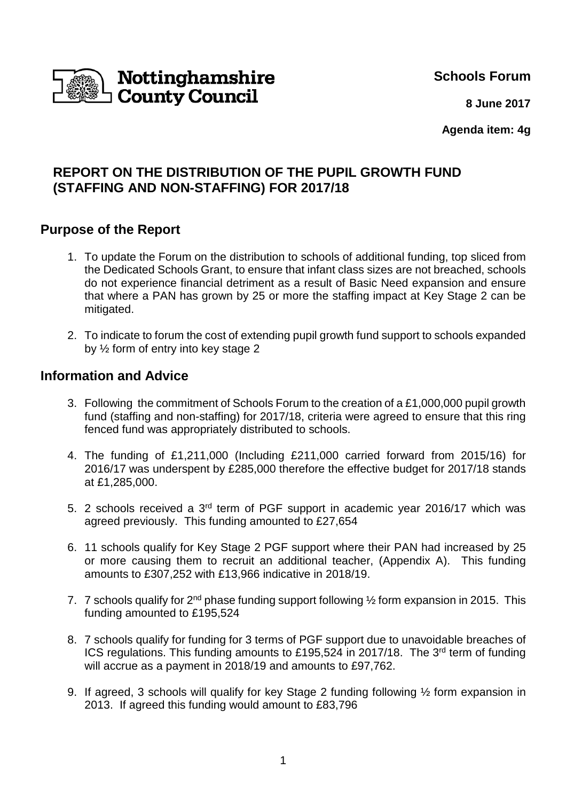

**Schools Forum**

 **8 June 2017**

**Agenda item: 4g**

# **REPORT ON THE DISTRIBUTION OF THE PUPIL GROWTH FUND (STAFFING AND NON-STAFFING) FOR 2017/18**

## **Purpose of the Report**

- 1. To update the Forum on the distribution to schools of additional funding, top sliced from the Dedicated Schools Grant, to ensure that infant class sizes are not breached, schools do not experience financial detriment as a result of Basic Need expansion and ensure that where a PAN has grown by 25 or more the staffing impact at Key Stage 2 can be mitigated.
- 2. To indicate to forum the cost of extending pupil growth fund support to schools expanded by ½ form of entry into key stage 2

### **Information and Advice**

- 3. Following the commitment of Schools Forum to the creation of a £1,000,000 pupil growth fund (staffing and non-staffing) for 2017/18, criteria were agreed to ensure that this ring fenced fund was appropriately distributed to schools.
- 4. The funding of £1,211,000 (Including £211,000 carried forward from 2015/16) for 2016/17 was underspent by £285,000 therefore the effective budget for 2017/18 stands at £1,285,000.
- 5. 2 schools received a 3rd term of PGF support in academic year 2016/17 which was agreed previously. This funding amounted to £27,654
- 6. 11 schools qualify for Key Stage 2 PGF support where their PAN had increased by 25 or more causing them to recruit an additional teacher, (Appendix A). This funding amounts to £307,252 with £13,966 indicative in 2018/19.
- 7. 7 schools qualify for  $2^{nd}$  phase funding support following  $\frac{1}{2}$  form expansion in 2015. This funding amounted to £195,524
- 8. 7 schools qualify for funding for 3 terms of PGF support due to unavoidable breaches of ICS regulations. This funding amounts to £195,524 in 2017/18. The 3<sup>rd</sup> term of funding will accrue as a payment in 2018/19 and amounts to £97,762.
- 9. If agreed, 3 schools will qualify for key Stage 2 funding following ½ form expansion in 2013. If agreed this funding would amount to £83,796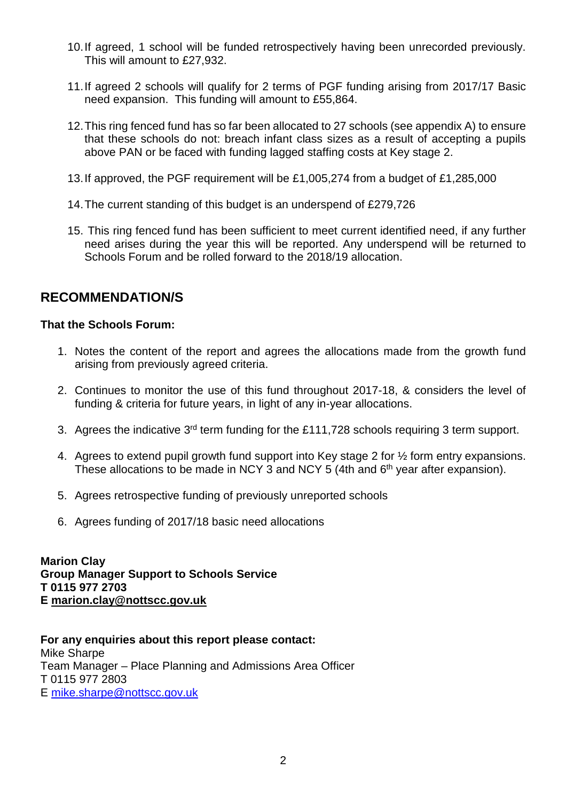- 10. If agreed, 1 school will be funded retrospectively having been unrecorded previously. This will amount to £27,932.
- 11. If agreed 2 schools will qualify for 2 terms of PGF funding arising from 2017/17 Basic need expansion. This funding will amount to £55,864.
- 12. This ring fenced fund has so far been allocated to 27 schools (see appendix A) to ensure that these schools do not: breach infant class sizes as a result of accepting a pupils above PAN or be faced with funding lagged staffing costs at Key stage 2.
- 13. If approved, the PGF requirement will be £1,005,274 from a budget of £1,285,000
- 14. The current standing of this budget is an underspend of £279,726
- 15. This ring fenced fund has been sufficient to meet current identified need, if any further need arises during the year this will be reported. Any underspend will be returned to Schools Forum and be rolled forward to the 2018/19 allocation.

## **RECOMMENDATION/S**

### **That the Schools Forum:**

- 1. Notes the content of the report and agrees the allocations made from the growth fund arising from previously agreed criteria.
- 2. Continues to monitor the use of this fund throughout 2017-18, & considers the level of funding & criteria for future years, in light of any in-year allocations.
- 3. Agrees the indicative 3rd term funding for the £111,728 schools requiring 3 term support.
- 4. Agrees to extend pupil growth fund support into Key stage 2 for ½ form entry expansions. These allocations to be made in NCY 3 and NCY 5 (4th and  $6<sup>th</sup>$  year after expansion).
- 5. Agrees retrospective funding of previously unreported schools
- 6. Agrees funding of 2017/18 basic need allocations

**Marion Clay Group Manager Support to Schools Service T 0115 977 2703 E marion.clay@nottscc.gov.uk** 

**For any enquiries about this report please contact:** Mike Sharpe Team Manager – Place Planning and Admissions Area Officer T 0115 977 2803 E mike.sharpe@nottscc.gov.uk